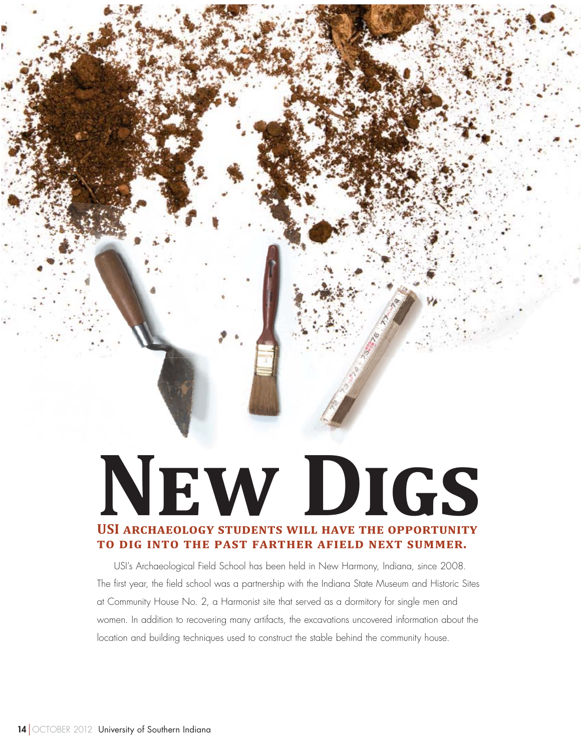# **NEW DIGS** USI ARCHAEOLOGY STUDENTS WILL HAVE THE OPPORTUNITY **TO DIG INTO THE PAST FARTHER AFIELD NEXT SUMMER.**

USI's Archaeological Field School has been held in New Harmony, Indiana, since 2008. The first year, the field school was a partnership with the Indiana State Museum and Historic Sites at Community House No. 2, a Harmonist site that served as a dormitory for single men and women. In addition to recovering many artifacts, the excavations uncovered information about the location and building techniques used to construct the stable behind the community house.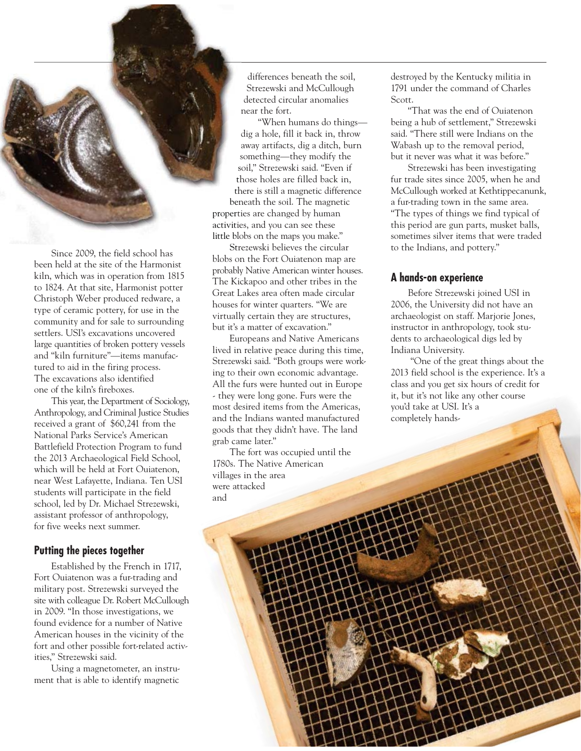

Since 2009, the field school has been held at the site of the Harmonist kiln, which was in operation from 1815 to 1824. At that site, Harmonist potter Christoph Weber produced redware, a type of ceramic pottery, for use in the community and for sale to surrounding settlers. USI's excavations uncovered large quantities of broken pottery vessels and "kiln furniture"—items manufactured to aid in the firing process. The excavations also identified one of the kiln's fireboxes.

This year, the Department of Sociology, Anthropology, and Criminal Justice Studies received a grant of \$60,241 from the National Parks Service's American Battlefield Protection Program to fund the 2013 Archaeological Field School, which will be held at Fort Ouiatenon, near West Lafayette, Indiana. Ten USI students will participate in the field school, led by Dr. Michael Strezewski, assistant professor of anthropology, for five weeks next summer.

## **Putting the pieces together**

Established by the French in 1717, Fort Ouiatenon was a fur-trading and military post. Strezewski surveyed the site with colleague Dr. Robert McCullough in 2009. "In those investigations, we found evidence for a number of Native American houses in the vicinity of the fort and other possible fort-related activities," Strezewski said.

Using a magnetometer, an instrument that is able to identify magnetic

differences beneath the soil, Strezewski and McCullough detected circular anomalies near the fort.

"When humans do things dig a hole, fill it back in, throw away artifacts, dig a ditch, burn something—they modify the soil," Strezewski said. "Even if s those holes are filled back in, t there is still a magnetic difference th beneath the soil. The magnetic be properties are changed by human propert activities, and you can see these activiti little blobs on the maps you make." little bl

Strezewski believes the circular Stblobs on the Fort Ouiatenon map are probably Native American winter houses. The Kickapoo and other tribes in the Great Lakes area often made circular houses for winter quarters. "We are virtually certain they are structures, but it's a matter of excavation."

Europeans and Native Americans lived in relative peace during this time, Strezewski said. "Both groups were working to their own economic advantage. All the furs were hunted out in Europe - they were long gone. Furs were the most desired items from the Americas, and the Indians wanted manufactured goods that they didn't have. The land grab came later."

The fort was occupied until the 1780s. The Native American villages in the area were attacked and

destroyed by the Kentucky militia in 1791 under the command of Charles Scott.

"That was the end of Ouiatenon being a hub of settlement," Strezewski said. "There still were Indians on the Wabash up to the removal period, but it never was what it was before."

Strezewski has been investigating fur trade sites since 2005, when he and McCullough worked at Kethtippecanunk, a fur-trading town in the same area. "The types of things we find typical of this period are gun parts, musket balls, sometimes silver items that were traded to the Indians, and pottery."

## **A hands-on experience**

Before Strezewski joined USI in 2006, the University did not have an archaeologist on staff. Marjorie Jones, instructor in anthropology, took students to archaeological digs led by Indiana University.

 "One of the great things about the 2013 field school is the experience. It's a class and you get six hours of credit for it, but it's not like any other course you'd take at USI. It's a completely hands-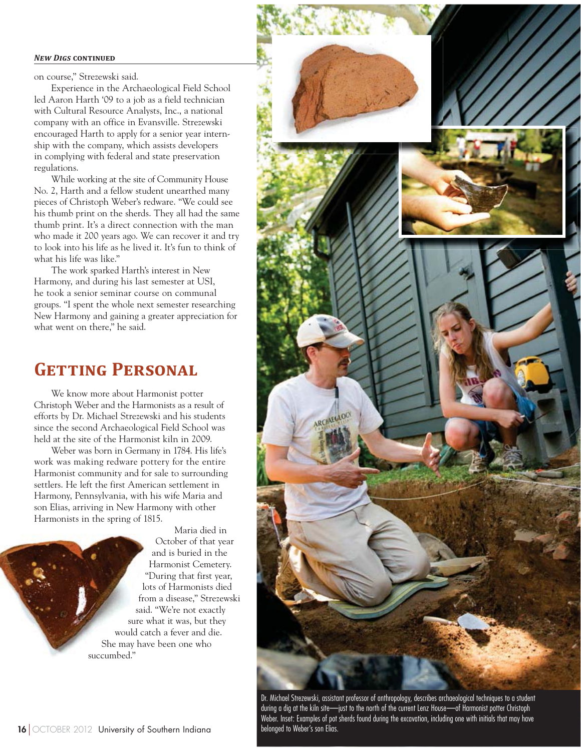#### **NEW DIGS CONTINUED**

on course," Strezewski said.

Experience in the Archaeological Field School led Aaron Harth '09 to a job as a field technician with Cultural Resource Analysts, Inc., a national company with an office in Evansville. Strezewski encouraged Harth to apply for a senior year internship with the company, which assists developers in complying with federal and state preservation regulations.

While working at the site of Community House No. 2, Harth and a fellow student unearthed many pieces of Christoph Weber's redware. "We could see his thumb print on the sherds. They all had the same thumb print. It's a direct connection with the man who made it 200 years ago. We can recover it and try to look into his life as he lived it. It's fun to think of what his life was like."

The work sparked Harth's interest in New Harmony, and during his last semester at USI, he took a senior seminar course on communal groups. "I spent the whole next semester researching New Harmony and gaining a greater appreciation for what went on there," he said.

## **GETTING PERSONAL**

We know more about Harmonist potter Christoph Weber and the Harmonists as a result of efforts by Dr. Michael Strezewski and his students since the second Archaeological Field School was held at the site of the Harmonist kiln in 2009.

Weber was born in Germany in 1784. His life's work was making redware pottery for the entire Harmonist community and for sale to surrounding settlers. He left the first American settlement in Harmony, Pennsylvania, with his wife Maria and son Elias, arriving in New Harmony with other Harmonists in the spring of 1815.

> Maria died in October of that year and is buried in the Harmonist Cemetery. "During that first year, lots of Harmonists died from a disease," Strezewski said. "We're not exactly sure what it was, but they would catch a fever and die. She may have been one who succumbed."



Dr. Michael Strezewski, assistant professor of anthropology, describes archaeological techniques to a student during a dig at the kiln site—just to the north of the current Lenz House—of Harmonist potter Christoph Weber. Inset: Examples of pot sherds found during the excavation, including one with initials that may have